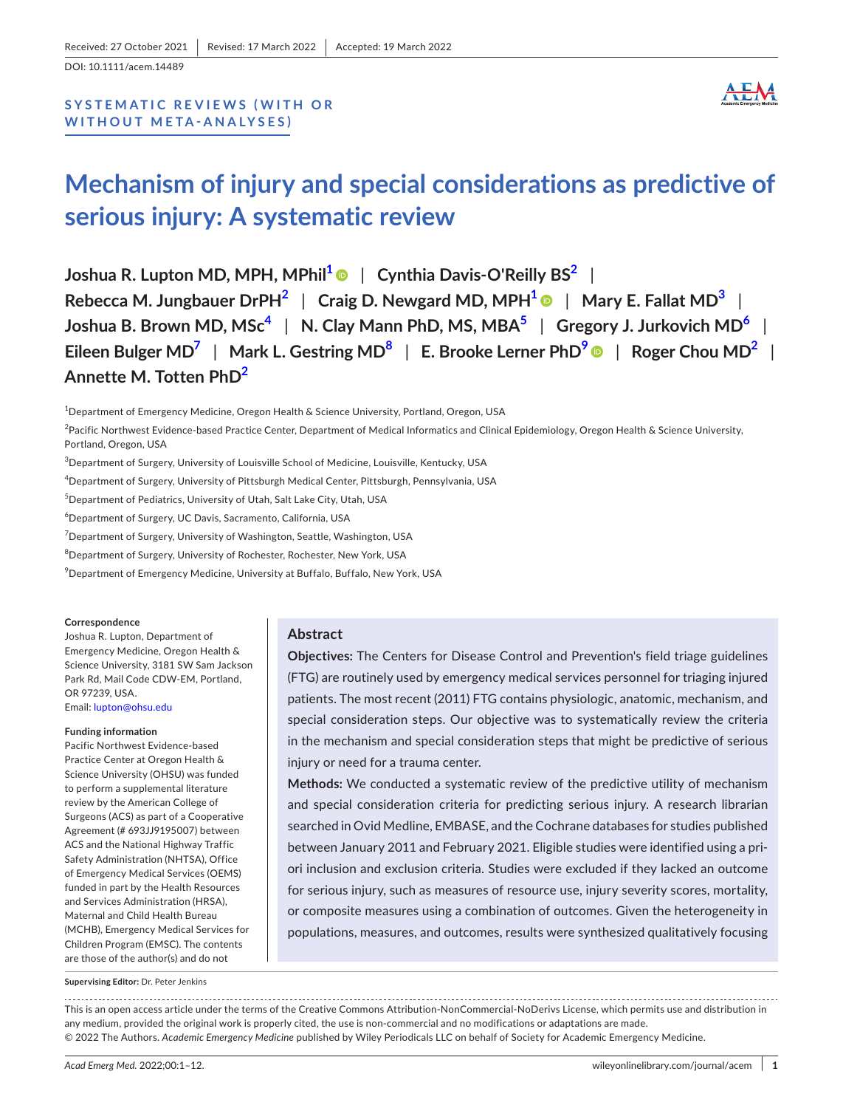DOI: 10.1111/acem.14489

# **SYSTEMATIC REVIEWS (WITH OR WITHOUT META- ANALYSES)**



# **Mechanism of injury and special considerations as predictive of serious injury: A systematic review**

**Joshua R. Lupton MD, MPH, MPhil[1](#page-0-0)** | **Cynthia Davis-O'Reilly BS[2](#page-0-1)** | **Rebecca M. Jungbauer DrPH[2](#page-0-1)** | **Craig D. Newgard MD, MPH[1](#page-0-0)** | **Mary E. Fallat MD[3](#page-0-2)** | **Joshua B. Brown MD, MSc[4](#page-0-3)** | **N. Clay Mann PhD, MS, MBA[5](#page-0-4)** | **Gregory J. Jurkovich MD[6](#page-0-5)** | **Eileen Bulger MD[7](#page-0-6)** | **Mark L. Gestring MD[8](#page-0-7)** | **E. Brooke Lerner PhD[9](#page-0-8)** | **Roger Chou MD[2](#page-0-1)** | **Annette M. Totten PhD[2](#page-0-1)**

<span id="page-0-0"></span>1 Department of Emergency Medicine, Oregon Health & Science University, Portland, Oregon, USA

<span id="page-0-1"></span><sup>2</sup>Pacific Northwest Evidence-based Practice Center, Department of Medical Informatics and Clinical Epidemiology, Oregon Health & Science University, Portland, Oregon, USA

<span id="page-0-2"></span> $^3$ Department of Surgery, University of Louisville School of Medicine, Louisville, Kentucky, USA

<span id="page-0-3"></span> $^4$ Department of Surgery, University of Pittsburgh Medical Center, Pittsburgh, Pennsylvania, USA

<span id="page-0-4"></span>5 Department of Pediatrics, University of Utah, Salt Lake City, Utah, USA

<span id="page-0-5"></span>6 Department of Surgery, UC Davis, Sacramento, California, USA

<span id="page-0-6"></span> ${\rm ^7}$ Department of Surgery, University of Washington, Seattle, Washington, USA

<span id="page-0-7"></span> $^8$ Department of Surgery, University of Rochester, Rochester, New York, USA

<span id="page-0-8"></span> $^9$ Department of Emergency Medicine, University at Buffalo, Buffalo, New York, USA

#### **Correspondence**

Joshua R. Lupton, Department of Emergency Medicine, Oregon Health & Science University, 3181 SW Sam Jackson Park Rd, Mail Code CDW-EM, Portland, OR 97239, USA. Email: [lupton@ohsu.edu](mailto:lupton@ohsu.edu)

#### **Funding information**

Pacific Northwest Evidence-based Practice Center at Oregon Health & Science University (OHSU) was funded to perform a supplemental literature review by the American College of Surgeons (ACS) as part of a Cooperative Agreement (# 693JJ9195007) between ACS and the National Highway Traffic Safety Administration (NHTSA), Office of Emergency Medical Services (OEMS) funded in part by the Health Resources and Services Administration (HRSA), Maternal and Child Health Bureau (MCHB), Emergency Medical Services for Children Program (EMSC). The contents are those of the author(s) and do not

**Supervising Editor:** Dr. Peter Jenkins

## **Abstract**

**Objectives:** The Centers for Disease Control and Prevention's field triage guidelines (FTG) are routinely used by emergency medical services personnel for triaging injured patients. The most recent (2011) FTG contains physiologic, anatomic, mechanism, and special consideration steps. Our objective was to systematically review the criteria in the mechanism and special consideration steps that might be predictive of serious injury or need for a trauma center.

**Methods:** We conducted a systematic review of the predictive utility of mechanism and special consideration criteria for predicting serious injury. A research librarian searched in Ovid Medline, EMBASE, and the Cochrane databases for studies published between January 2011 and February 2021. Eligible studies were identified using a priori inclusion and exclusion criteria. Studies were excluded if they lacked an outcome for serious injury, such as measures of resource use, injury severity scores, mortality, or composite measures using a combination of outcomes. Given the heterogeneity in populations, measures, and outcomes, results were synthesized qualitatively focusing

This is an open access article under the terms of the Creative Commons Attribution-NonCommercial-NoDerivs License, which permits use and distribution in any medium, provided the original work is properly cited, the use is non-commercial and no modifications or adaptations are made. © 2022 The Authors. *Academic Emergency Medicine* published by Wiley Periodicals LLC on behalf of Society for Academic Emergency Medicine.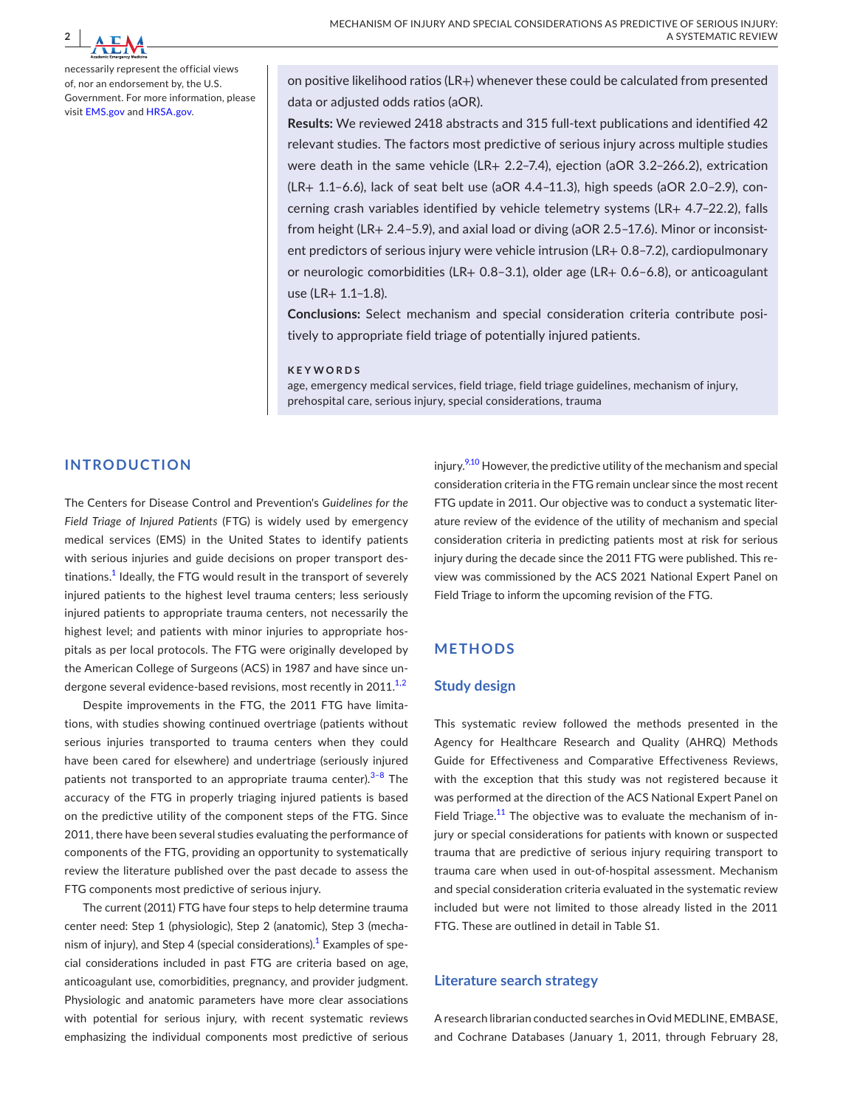

necessarily represent the official views of, nor an endorsement by, the U.S. Government. For more information, please visit [EMS.gov](http://ems.gov) and [HRSA.gov](http://hrsa.gov).

on positive likelihood ratios (LR+) whenever these could be calculated from presented data or adjusted odds ratios (aOR).

**Results:** We reviewed 2418 abstracts and 315 full-text publications and identified 42 relevant studies. The factors most predictive of serious injury across multiple studies were death in the same vehicle (LR+ 2.2–7.4), ejection (aOR 3.2–266.2), extrication (LR+ 1.1–6.6), lack of seat belt use (aOR 4.4–11.3), high speeds (aOR 2.0–2.9), concerning crash variables identified by vehicle telemetry systems (LR+ 4.7–22.2), falls from height (LR+ 2.4–5.9), and axial load or diving (aOR 2.5–17.6). Minor or inconsistent predictors of serious injury were vehicle intrusion (LR+ 0.8–7.2), cardiopulmonary or neurologic comorbidities (LR+ 0.8–3.1), older age (LR+ 0.6–6.8), or anticoagulant use (LR+ 1.1–1.8).

**Conclusions:** Select mechanism and special consideration criteria contribute positively to appropriate field triage of potentially injured patients.

#### **KEYWORDS**

age, emergency medical services, field triage, field triage guidelines, mechanism of injury, prehospital care, serious injury, special considerations, trauma

## **INTRODUCTION**

The Centers for Disease Control and Prevention's *Guidelines for the Field Triage of Injured Patients* (FTG) is widely used by emergency medical services (EMS) in the United States to identify patients with serious injuries and guide decisions on proper transport destinations. $^{\rm 1}$  $^{\rm 1}$  $^{\rm 1}$  Ideally, the FTG would result in the transport of severely injured patients to the highest level trauma centers; less seriously injured patients to appropriate trauma centers, not necessarily the highest level; and patients with minor injuries to appropriate hospitals as per local protocols. The FTG were originally developed by the American College of Surgeons (ACS) in 1987 and have since undergone several evidence-based revisions, most recently in  $2011^{1,2}$ 

Despite improvements in the FTG, the 2011 FTG have limitations, with studies showing continued overtriage (patients without serious injuries transported to trauma centers when they could have been cared for elsewhere) and undertriage (seriously injured patients not transported to an appropriate trauma center).<sup>3-8</sup> The accuracy of the FTG in properly triaging injured patients is based on the predictive utility of the component steps of the FTG. Since 2011, there have been several studies evaluating the performance of components of the FTG, providing an opportunity to systematically review the literature published over the past decade to assess the FTG components most predictive of serious injury.

The current (2011) FTG have four steps to help determine trauma center need: Step 1 (physiologic), Step 2 (anatomic), Step 3 (mecha-nism of injury), and Step 4 (special considerations).<sup>[1](#page-10-0)</sup> Examples of special considerations included in past FTG are criteria based on age, anticoagulant use, comorbidities, pregnancy, and provider judgment. Physiologic and anatomic parameters have more clear associations with potential for serious injury, with recent systematic reviews emphasizing the individual components most predictive of serious injury.<sup>9,10</sup> However, the predictive utility of the mechanism and special consideration criteria in the FTG remain unclear since the most recent FTG update in 2011. Our objective was to conduct a systematic literature review of the evidence of the utility of mechanism and special consideration criteria in predicting patients most at risk for serious injury during the decade since the 2011 FTG were published. This review was commissioned by the ACS 2021 National Expert Panel on Field Triage to inform the upcoming revision of the FTG.

## **METHODS**

#### **Study design**

This systematic review followed the methods presented in the Agency for Healthcare Research and Quality (AHRQ) Methods Guide for Effectiveness and Comparative Effectiveness Reviews, with the exception that this study was not registered because it was performed at the direction of the ACS National Expert Panel on Field Triage.<sup>[11](#page-10-3)</sup> The objective was to evaluate the mechanism of injury or special considerations for patients with known or suspected trauma that are predictive of serious injury requiring transport to trauma care when used in out-of-hospital assessment. Mechanism and special consideration criteria evaluated in the systematic review included but were not limited to those already listed in the 2011 FTG. These are outlined in detail in Table S1.

## **Literature search strategy**

A research librarian conducted searches in Ovid MEDLINE, EMBASE, and Cochrane Databases (January 1, 2011, through February 28,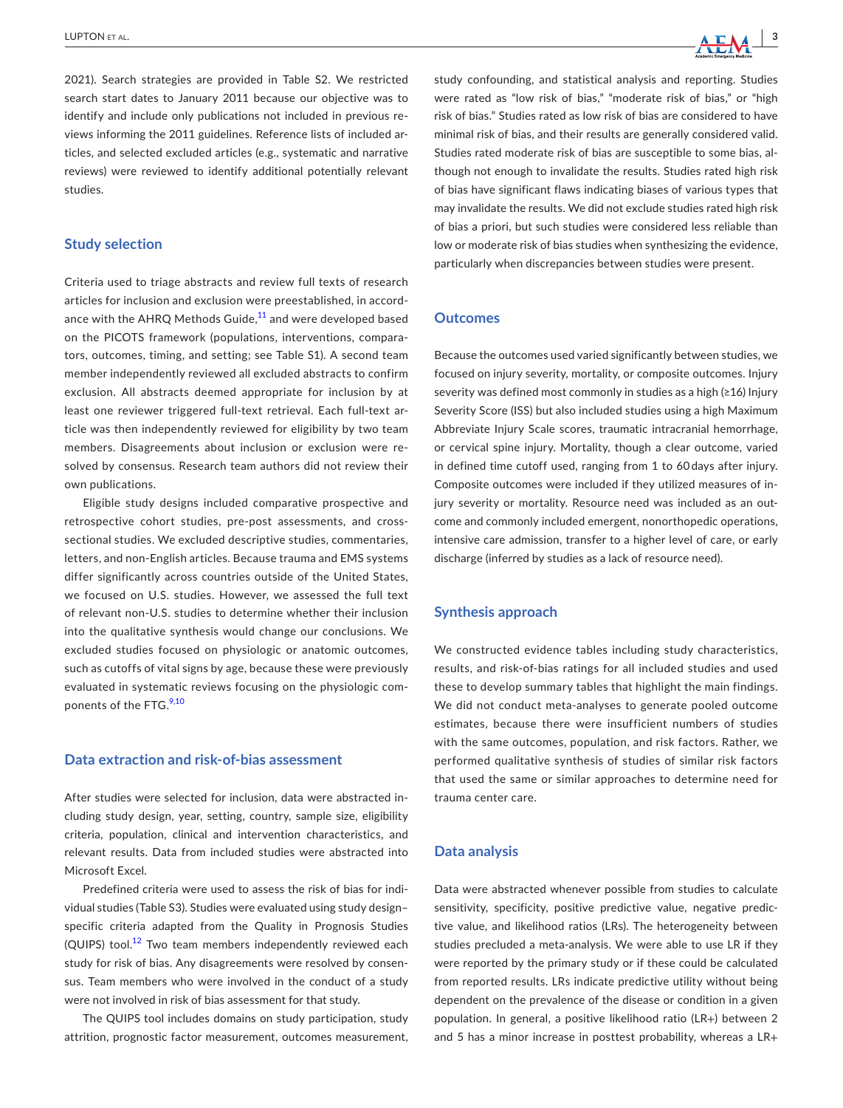

2021). Search strategies are provided in Table S2. We restricted search start dates to January 2011 because our objective was to identify and include only publications not included in previous reviews informing the 2011 guidelines. Reference lists of included articles, and selected excluded articles (e.g., systematic and narrative reviews) were reviewed to identify additional potentially relevant studies.

# **Study selection**

Criteria used to triage abstracts and review full texts of research articles for inclusion and exclusion were preestablished, in accordance with the AHRQ Methods Guide, $^{11}$  $^{11}$  $^{11}$  and were developed based on the PICOTS framework (populations, interventions, comparators, outcomes, timing, and setting; see Table S1). A second team member independently reviewed all excluded abstracts to confirm exclusion. All abstracts deemed appropriate for inclusion by at least one reviewer triggered full-text retrieval. Each full-text article was then independently reviewed for eligibility by two team members. Disagreements about inclusion or exclusion were resolved by consensus. Research team authors did not review their own publications.

Eligible study designs included comparative prospective and retrospective cohort studies, pre-post assessments, and crosssectional studies. We excluded descriptive studies, commentaries, letters, and non-English articles. Because trauma and EMS systems differ significantly across countries outside of the United States, we focused on U.S. studies. However, we assessed the full text of relevant non-U.S. studies to determine whether their inclusion into the qualitative synthesis would change our conclusions. We excluded studies focused on physiologic or anatomic outcomes, such as cutoffs of vital signs by age, because these were previously evaluated in systematic reviews focusing on the physiologic components of the FTG.<sup>9,10</sup>

## **Data extraction and risk-of-bias assessment**

After studies were selected for inclusion, data were abstracted including study design, year, setting, country, sample size, eligibility criteria, population, clinical and intervention characteristics, and relevant results. Data from included studies were abstracted into Microsoft Excel.

Predefined criteria were used to assess the risk of bias for individual studies (Table S3). Studies were evaluated using study design– specific criteria adapted from the Quality in Prognosis Studies (QUIPS) tool.<sup>[12](#page-10-4)</sup> Two team members independently reviewed each study for risk of bias. Any disagreements were resolved by consensus. Team members who were involved in the conduct of a study were not involved in risk of bias assessment for that study.

The QUIPS tool includes domains on study participation, study attrition, prognostic factor measurement, outcomes measurement,

study confounding, and statistical analysis and reporting. Studies were rated as "low risk of bias," "moderate risk of bias," or "high risk of bias." Studies rated as low risk of bias are considered to have minimal risk of bias, and their results are generally considered valid. Studies rated moderate risk of bias are susceptible to some bias, although not enough to invalidate the results. Studies rated high risk of bias have significant flaws indicating biases of various types that may invalidate the results. We did not exclude studies rated high risk of bias a priori, but such studies were considered less reliable than low or moderate risk of bias studies when synthesizing the evidence, particularly when discrepancies between studies were present.

## **Outcomes**

Because the outcomes used varied significantly between studies, we focused on injury severity, mortality, or composite outcomes. Injury severity was defined most commonly in studies as a high (≥16) Injury Severity Score (ISS) but also included studies using a high Maximum Abbreviate Injury Scale scores, traumatic intracranial hemorrhage, or cervical spine injury. Mortality, though a clear outcome, varied in defined time cutoff used, ranging from 1 to 60 days after injury. Composite outcomes were included if they utilized measures of injury severity or mortality. Resource need was included as an outcome and commonly included emergent, nonorthopedic operations, intensive care admission, transfer to a higher level of care, or early discharge (inferred by studies as a lack of resource need).

## **Synthesis approach**

We constructed evidence tables including study characteristics, results, and risk-of-bias ratings for all included studies and used these to develop summary tables that highlight the main findings. We did not conduct meta-analyses to generate pooled outcome estimates, because there were insufficient numbers of studies with the same outcomes, population, and risk factors. Rather, we performed qualitative synthesis of studies of similar risk factors that used the same or similar approaches to determine need for trauma center care.

## **Data analysis**

Data were abstracted whenever possible from studies to calculate sensitivity, specificity, positive predictive value, negative predictive value, and likelihood ratios (LRs). The heterogeneity between studies precluded a meta-analysis. We were able to use LR if they were reported by the primary study or if these could be calculated from reported results. LRs indicate predictive utility without being dependent on the prevalence of the disease or condition in a given population. In general, a positive likelihood ratio (LR+) between 2 and 5 has a minor increase in posttest probability, whereas a LR+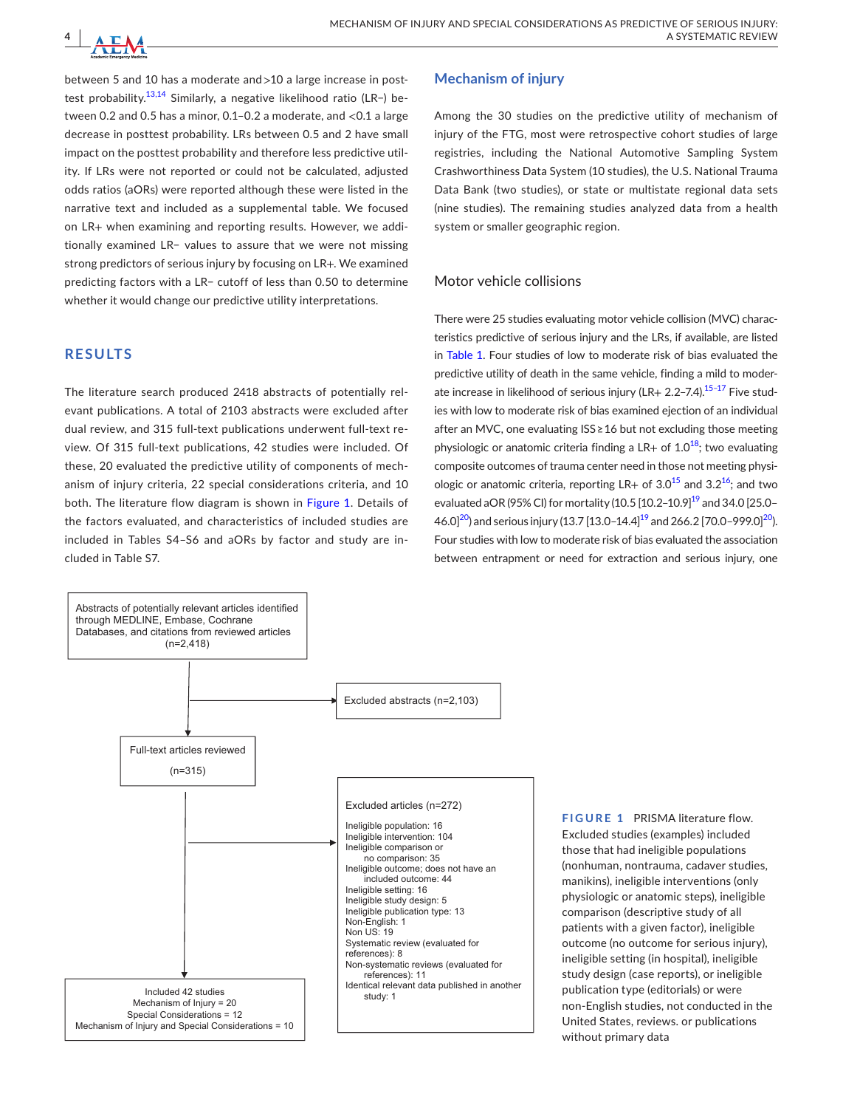

between 5 and 10 has a moderate and >10 a large increase in posttest probability.<sup>13,14</sup> Similarly, a negative likelihood ratio (LR−) between 0.2 and 0.5 has a minor, 0.1–0.2 a moderate, and <0.1 a large decrease in posttest probability. LRs between 0.5 and 2 have small impact on the posttest probability and therefore less predictive utility. If LRs were not reported or could not be calculated, adjusted odds ratios (aORs) were reported although these were listed in the narrative text and included as a supplemental table. We focused on LR+ when examining and reporting results. However, we additionally examined LR− values to assure that we were not missing strong predictors of serious injury by focusing on LR+. We examined predicting factors with a LR− cutoff of less than 0.50 to determine whether it would change our predictive utility interpretations.

# **RESULTS**

The literature search produced 2418 abstracts of potentially relevant publications. A total of 2103 abstracts were excluded after dual review, and 315 full-text publications underwent full-text review. Of 315 full-text publications, 42 studies were included. Of these, 20 evaluated the predictive utility of components of mechanism of injury criteria, 22 special considerations criteria, and 10 both. The literature flow diagram is shown in Figure [1](#page-3-0). Details of the factors evaluated, and characteristics of included studies are included in Tables S4–S6 and aORs by factor and study are included in Table S7.

# **Mechanism of injury**

Among the 30 studies on the predictive utility of mechanism of injury of the FTG, most were retrospective cohort studies of large registries, including the National Automotive Sampling System Crashworthiness Data System (10 studies), the U.S. National Trauma Data Bank (two studies), or state or multistate regional data sets (nine studies). The remaining studies analyzed data from a health system or smaller geographic region.

# Motor vehicle collisions

There were 25 studies evaluating motor vehicle collision (MVC) characteristics predictive of serious injury and the LRs, if available, are listed in Table [1](#page-4-0). Four studies of low to moderate risk of bias evaluated the predictive utility of death in the same vehicle, finding a mild to moderate increase in likelihood of serious injury (LR+ 2.2–7.4). $15-17$  Five studies with low to moderate risk of bias examined ejection of an individual after an MVC, one evaluating ISS ≥ 16 but not excluding those meeting physiologic or anatomic criteria finding a  $LR+$  of  $1.0^{18}$  $1.0^{18}$  $1.0^{18}$ ; two evaluating composite outcomes of trauma center need in those not meeting physiologic or anatomic criteria, reporting LR+ of  $3.0^{15}$  and  $3.2^{16}$  $3.2^{16}$  $3.2^{16}$ ; and two evaluated aOR (95% CI) for mortality (10.5  $[10.2-10.9]^{19}$  and 34.0  $[25.0-$ 46.0<sup> $20$ </sup>) and serious injury (13.7 [13.0–14.4]<sup>19</sup> and 266.2 [70.0–999.0<sup> $20$ </sup>). Four studies with low to moderate risk of bias evaluated the association between entrapment or need for extraction and serious injury, one



<span id="page-3-0"></span>**FIGURE 1** PRISMA literature flow. Excluded studies (examples) included those that had ineligible populations (nonhuman, nontrauma, cadaver studies, manikins), ineligible interventions (only physiologic or anatomic steps), ineligible comparison (descriptive study of all patients with a given factor), ineligible outcome (no outcome for serious injury), ineligible setting (in hospital), ineligible study design (case reports), or ineligible publication type (editorials) or were non-English studies, not conducted in the United States, reviews. or publications without primary data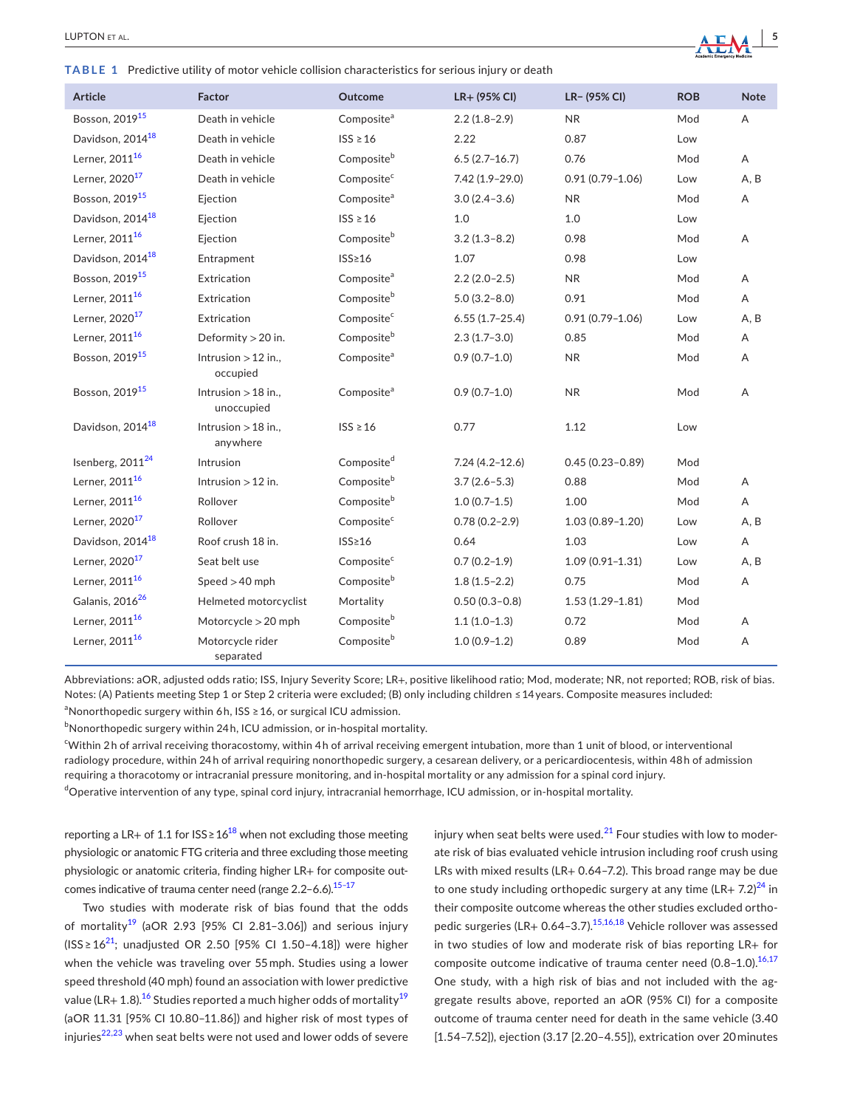<span id="page-4-0"></span>**TABLE 1** Predictive utility of motor vehicle collision characteristics for serious injury or death

| Article                      | Factor                              | Outcome                | LR+ (95% CI)       | LR- (95% CI)        | <b>ROB</b> | <b>Note</b> |
|------------------------------|-------------------------------------|------------------------|--------------------|---------------------|------------|-------------|
| Bosson, 2019 <sup>15</sup>   | Death in vehicle                    | Composite <sup>a</sup> | $2.2(1.8-2.9)$     | <b>NR</b>           | Mod        | Α           |
| Davidson, 2014 <sup>18</sup> | Death in vehicle                    | $ISS \geq 16$          | 2.22               | 0.87                | Low        |             |
| Lerner, 2011 <sup>16</sup>   | Death in vehicle                    | Compositeb             | $6.5(2.7-16.7)$    | 0.76                | Mod        | A           |
| Lerner, 2020 <sup>17</sup>   | Death in vehicle                    | Composite <sup>c</sup> | $7.42(1.9 - 29.0)$ | $0.91(0.79 - 1.06)$ | Low        | A, B        |
| Bosson, 2019 <sup>15</sup>   | Ejection                            | Composite <sup>a</sup> | $3.0(2.4-3.6)$     | <b>NR</b>           | Mod        | Α           |
| Davidson, 2014 <sup>18</sup> | Ejection                            | $ISS \geq 16$          | 1.0                | 1.0                 | Low        |             |
| Lerner, 2011 <sup>16</sup>   | Ejection                            | Compositeb             | $3.2(1.3 - 8.2)$   | 0.98                | Mod        | A           |
| Davidson, 2014 <sup>18</sup> | Entrapment                          | $ISS \geq 16$          | 1.07               | 0.98                | Low        |             |
| Bosson, 2019 <sup>15</sup>   | Extrication                         | Composite <sup>a</sup> | $2.2(2.0-2.5)$     | <b>NR</b>           | Mod        | Α           |
| Lerner, 2011 <sup>16</sup>   | Extrication                         | Compositeb             | $5.0(3.2 - 8.0)$   | 0.91                | Mod        | Α           |
| Lerner, 2020 <sup>17</sup>   | Extrication                         | Composite <sup>c</sup> | $6.55(1.7-25.4)$   | $0.91(0.79 - 1.06)$ | Low        | A, B        |
| Lerner, 2011 <sup>16</sup>   | Deformity $>$ 20 in.                | Compositeb             | $2.3(1.7-3.0)$     | 0.85                | Mod        | Α           |
| Bosson, 2019 <sup>15</sup>   | Intrusion $>12$ in.,<br>occupied    | Composite <sup>a</sup> | $0.9(0.7-1.0)$     | <b>NR</b>           | Mod        | Α           |
| Bosson, 2019 <sup>15</sup>   | Intrusion $>$ 18 in.,<br>unoccupied | Composite <sup>a</sup> | $0.9(0.7-1.0)$     | <b>NR</b>           | Mod        | Α           |
| Davidson, 2014 <sup>18</sup> | Intrusion $>$ 18 in.,<br>anywhere   | $ISS \geq 16$          | 0.77               | 1.12                | Low        |             |
| Isenberg, 2011 <sup>24</sup> | Intrusion                           | Composite <sup>d</sup> | $7.24(4.2 - 12.6)$ | $0.45(0.23 - 0.89)$ | Mod        |             |
| Lerner, 2011 <sup>16</sup>   | Intrusion $>12$ in.                 | Compositeb             | $3.7(2.6 - 5.3)$   | 0.88                | Mod        | A           |
| Lerner, 2011 <sup>16</sup>   | Rollover                            | Compositeb             | $1.0(0.7-1.5)$     | 1.00                | Mod        | A           |
| Lerner, 2020 <sup>17</sup>   | Rollover                            | Composite <sup>c</sup> | $0.78(0.2 - 2.9)$  | $1.03(0.89 - 1.20)$ | Low        | A, B        |
| Davidson, 2014 <sup>18</sup> | Roof crush 18 in.                   | ISS <sub>216</sub>     | 0.64               | 1.03                | Low        | Α           |
| Lerner, 2020 <sup>17</sup>   | Seat belt use                       | Composite <sup>c</sup> | $0.7(0.2-1.9)$     | $1.09(0.91 - 1.31)$ | Low        | A, B        |
| Lerner, 2011 <sup>16</sup>   | Speed $>40$ mph                     | Compositeb             | $1.8(1.5-2.2)$     | 0.75                | Mod        | Α           |
| Galanis, 2016 <sup>26</sup>  | Helmeted motorcyclist               | Mortality              | $0.50(0.3 - 0.8)$  | $1.53(1.29 - 1.81)$ | Mod        |             |
| Lerner, 2011 <sup>16</sup>   | Motorcycle > 20 mph                 | Compositeb             | $1.1(1.0-1.3)$     | 0.72                | Mod        | A           |
| Lerner, 2011 <sup>16</sup>   | Motorcycle rider<br>separated       | Compositeb             | $1.0(0.9-1.2)$     | 0.89                | Mod        | Α           |

Abbreviations: aOR, adjusted odds ratio; ISS, Injury Severity Score; LR+, positive likelihood ratio; Mod, moderate; NR, not reported; ROB, risk of bias. Notes: (A) Patients meeting Step 1 or Step 2 criteria were excluded; (B) only including children ≤ 14 years. Composite measures included: <sup>a</sup>Nonorthopedic surgery within 6h, ISS ≥ 16, or surgical ICU admission.

 $^{\rm b}$ Nonorthopedic surgery within 24h, ICU admission, or in-hospital mortality.

c Within 2 h of arrival receiving thoracostomy, within 4 h of arrival receiving emergent intubation, more than 1 unit of blood, or interventional radiology procedure, within 24 h of arrival requiring nonorthopedic surgery, a cesarean delivery, or a pericardiocentesis, within 48 h of admission requiring a thoracotomy or intracranial pressure monitoring, and in-hospital mortality or any admission for a spinal cord injury. <sup>d</sup>Operative intervention of any type, spinal cord injury, intracranial hemorrhage, ICU admission, or in-hospital mortality.

reporting a LR+ of 1.1 for  $ISS \ge 16^{18}$  $ISS \ge 16^{18}$  $ISS \ge 16^{18}$  when not excluding those meeting physiologic or anatomic FTG criteria and three excluding those meeting physiologic or anatomic criteria, finding higher LR+ for composite outcomes indicative of trauma center need (range  $2.2 - 6.6$ ).<sup>15-17</sup>

Two studies with moderate risk of bias found that the odds of mortality<sup>19</sup> (aOR 2.93 [95% CI 2.81-3.06]) and serious injury (ISS ≥  $16^{21}$  $16^{21}$  $16^{21}$ ; unadjusted OR 2.50 [95% CI 1.50-4.18]) were higher when the vehicle was traveling over 55 mph. Studies using a lower speed threshold (40 mph) found an association with lower predictive value (LR+ 1.8).<sup>[16](#page-10-8)</sup> Studies reported a much higher odds of mortality<sup>[19](#page-10-9)</sup> (aOR 11.31 [95% CI 10.80–11.86]) and higher risk of most types of injuries<sup>22,23</sup> when seat belts were not used and lower odds of severe

injury when seat belts were used. $^{21}$  $^{21}$  $^{21}$  Four studies with low to moderate risk of bias evaluated vehicle intrusion including roof crush using LRs with mixed results (LR+ 0.64–7.2). This broad range may be due to one study including orthopedic surgery at any time  $(LR + 7.2)^{24}$  in their composite outcome whereas the other studies excluded ortho-pedic surgeries (LR+ 0.64-3.7).<sup>[15,16,18](#page-10-6)</sup> Vehicle rollover was assessed in two studies of low and moderate risk of bias reporting LR+ for composite outcome indicative of trauma center need (0.8-1.0).<sup>16,17</sup> One study, with a high risk of bias and not included with the aggregate results above, reported an aOR (95% CI) for a composite outcome of trauma center need for death in the same vehicle (3.40 [1.54–7.52]), ejection (3.17 [2.20–4.55]), extrication over 20 minutes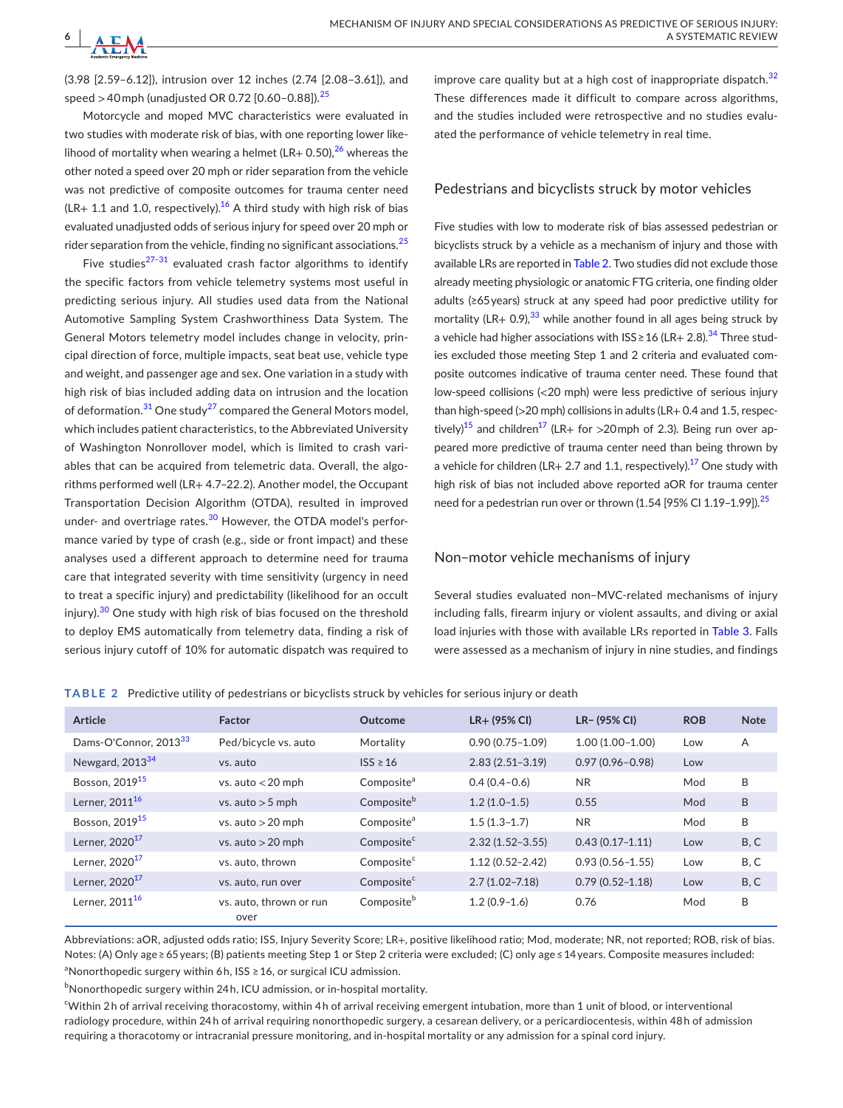(3.98 [2.59–6.12]), intrusion over 12 inches (2.74 [2.08–3.61]), and speed  $>$  40 mph (unadjusted OR 0.72 [0.60-0.88]).<sup>[25](#page-11-2)</sup>

Motorcycle and moped MVC characteristics were evaluated in two studies with moderate risk of bias, with one reporting lower likelihood of mortality when wearing a helmet (LR+ 0.50), $^{26}$  $^{26}$  $^{26}$  whereas the other noted a speed over 20 mph or rider separation from the vehicle was not predictive of composite outcomes for trauma center need  $(LR+ 1.1$  and 1.0, respectively).<sup>[16](#page-10-8)</sup> A third study with high risk of bias evaluated unadjusted odds of serious injury for speed over 20 mph or rider separation from the vehicle, finding no significant associations. $^{25}$  $^{25}$  $^{25}$ 

Five studies<sup>27-31</sup> evaluated crash factor algorithms to identify the specific factors from vehicle telemetry systems most useful in predicting serious injury. All studies used data from the National Automotive Sampling System Crashworthiness Data System. The General Motors telemetry model includes change in velocity, principal direction of force, multiple impacts, seat beat use, vehicle type and weight, and passenger age and sex. One variation in a study with high risk of bias included adding data on intrusion and the location of deformation.<sup>[31](#page-11-4)</sup> One study<sup>[27](#page-11-3)</sup> compared the General Motors model, which includes patient characteristics, to the Abbreviated University of Washington Nonrollover model, which is limited to crash variables that can be acquired from telemetric data. Overall, the algorithms performed well (LR+ 4.7–22.2). Another model, the Occupant Transportation Decision Algorithm (OTDA), resulted in improved under- and overtriage rates.<sup>[30](#page-11-5)</sup> However, the OTDA model's performance varied by type of crash (e.g., side or front impact) and these analyses used a different approach to determine need for trauma care that integrated severity with time sensitivity (urgency in need to treat a specific injury) and predictability (likelihood for an occult injury).<sup>[30](#page-11-5)</sup> One study with high risk of bias focused on the threshold to deploy EMS automatically from telemetry data, finding a risk of serious injury cutoff of 10% for automatic dispatch was required to

improve care quality but at a high cost of inappropriate dispatch.<sup>[32](#page-11-6)</sup> These differences made it difficult to compare across algorithms, and the studies included were retrospective and no studies evaluated the performance of vehicle telemetry in real time.

# Pedestrians and bicyclists struck by motor vehicles

Five studies with low to moderate risk of bias assessed pedestrian or bicyclists struck by a vehicle as a mechanism of injury and those with available LRs are reported in Table [2](#page-5-0). Two studies did not exclude those already meeting physiologic or anatomic FTG criteria, one finding older adults (≥65 years) struck at any speed had poor predictive utility for mortality (LR+ 0.9), $^{33}$  $^{33}$  $^{33}$  while another found in all ages being struck by a vehicle had higher associations with  $ISS \ge 16$  (LR+ 2.8).<sup>[34](#page-11-8)</sup> Three studies excluded those meeting Step 1 and 2 criteria and evaluated composite outcomes indicative of trauma center need. These found that low-speed collisions (<20 mph) were less predictive of serious injury than high-speed ( $>$ 20 mph) collisions in adults (LR+ 0.4 and 1.5, respec-tively)<sup>[15](#page-10-6)</sup> and children<sup>[17](#page-10-13)</sup> (LR+ for >20mph of 2.3). Being run over appeared more predictive of trauma center need than being thrown by a vehicle for children (LR+ 2.7 and 1.1, respectively).<sup>[17](#page-10-13)</sup> One study with high risk of bias not included above reported aOR for trauma center need for a pedestrian run over or thrown  $(1.54 [95\% \text{ CI} 1.19-1.99])$ .<sup>[25](#page-11-2)</sup>

## Non–motor vehicle mechanisms of injury

Several studies evaluated non–MVC-related mechanisms of injury including falls, firearm injury or violent assaults, and diving or axial load injuries with those with available LRs reported in Table [3](#page-6-0). Falls were assessed as a mechanism of injury in nine studies, and findings

<span id="page-5-0"></span>**TABLE 2** Predictive utility of pedestrians or bicyclists struck by vehicles for serious injury or death

| Article                           | <b>Factor</b>                   | Outcome                | $LR+$ (95% CI)      | LR- (95% CI)        | <b>ROB</b> | <b>Note</b> |
|-----------------------------------|---------------------------------|------------------------|---------------------|---------------------|------------|-------------|
| Dams-O'Connor, 2013 <sup>33</sup> | Ped/bicycle vs. auto            | Mortality              | $0.90(0.75 - 1.09)$ | $1.00(1.00 - 1.00)$ | Low        | A           |
| Newgard, 2013 <sup>34</sup>       | ys. auto                        | $ISS \geq 16$          | $2.83(2.51-3.19)$   | $0.97(0.96 - 0.98)$ | Low        |             |
| Bosson, 2019 <sup>15</sup>        | vs. auto $<$ 20 mph             | Composite <sup>a</sup> | $0.4(0.4-0.6)$      | N <sub>R</sub>      | Mod        | B           |
| Lerner, 2011 <sup>16</sup>        | vs. auto $>$ 5 mph              | Composite <sup>b</sup> | $1.2(1.0-1.5)$      | 0.55                | Mod        | B           |
| Bosson, 2019 <sup>15</sup>        | vs. auto $>$ 20 mph             | Composite <sup>a</sup> | $1.5(1.3-1.7)$      | N <sub>R</sub>      | Mod        | B           |
| Lerner, 2020 <sup>17</sup>        | vs. auto $>20$ mph              | Composite <sup>c</sup> | $2.32(1.52 - 3.55)$ | $0.43(0.17 - 1.11)$ | Low        | B, C        |
| Lerner, 2020 <sup>17</sup>        | vs. auto. thrown                | Composite <sup>c</sup> | $1.12(0.52 - 2.42)$ | $0.93(0.56 - 1.55)$ | Low        | B, C        |
| Lerner, $202017$                  | vs. auto, run over              | Composite <sup>c</sup> | $2.7(1.02 - 7.18)$  | $0.79(0.52 - 1.18)$ | Low        | B, C        |
| Lerner, 2011 <sup>16</sup>        | vs. auto, thrown or run<br>over | Composite <sup>b</sup> | $1.2(0.9-1.6)$      | 0.76                | Mod        | B           |

Abbreviations: aOR, adjusted odds ratio; ISS, Injury Severity Score; LR+, positive likelihood ratio; Mod, moderate; NR, not reported; ROB, risk of bias. Notes: (A) Only age ≥ 65 years; (B) patients meeting Step 1 or Step 2 criteria were excluded; (C) only age ≤ 14 years. Composite measures included: <sup>a</sup>Nonorthopedic surgery within 6h, ISS ≥ 16, or surgical ICU admission.

 $^{\rm b}$ Nonorthopedic surgery within 24 h, ICU admission, or in-hospital mortality.

c Within 2 h of arrival receiving thoracostomy, within 4 h of arrival receiving emergent intubation, more than 1 unit of blood, or interventional radiology procedure, within 24 h of arrival requiring nonorthopedic surgery, a cesarean delivery, or a pericardiocentesis, within 48 h of admission requiring a thoracotomy or intracranial pressure monitoring, and in-hospital mortality or any admission for a spinal cord injury.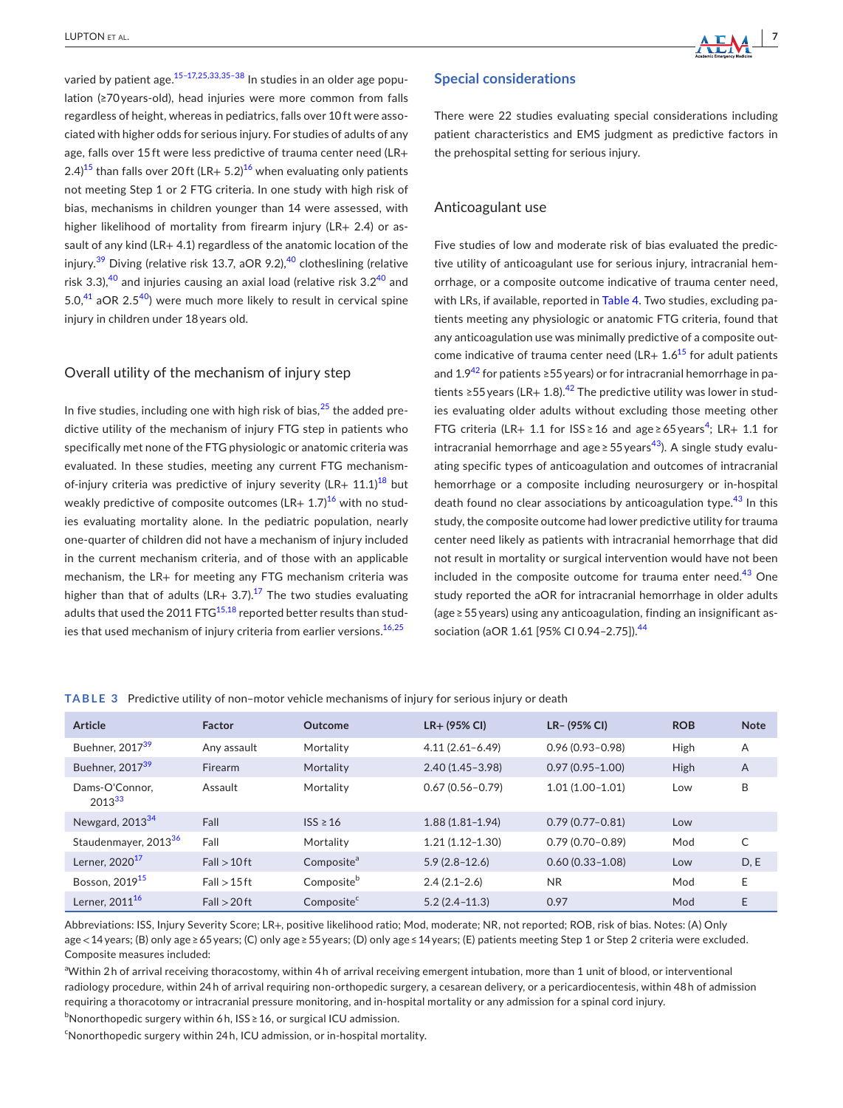varied by patient age.<sup>15-17,25,33,35-38</sup> In studies in an older age population (≥70 years-old), head injuries were more common from falls regardless of height, whereas in pediatrics, falls over 10 ft were associated with higher odds for serious injury. For studies of adults of any age, falls over 15 ft were less predictive of trauma center need (LR+ 2.4)<sup>[15](#page-10-6)</sup> than falls over 20<sup>ft</sup> (LR+ 5.2)<sup>[16](#page-10-8)</sup> when evaluating only patients not meeting Step 1 or 2 FTG criteria. In one study with high risk of bias, mechanisms in children younger than 14 were assessed, with higher likelihood of mortality from firearm injury (LR+ 2.4) or assault of any kind (LR+ 4.1) regardless of the anatomic location of the injury.<sup>39</sup> Diving (relative risk 13.7, aOR 9.2),<sup>[40](#page-11-10)</sup> clotheslining (relative risk 3.3), $40$  and injuries causing an axial load (relative risk 3.2 $40$  and 5.0, $41$  aOR 2.5 $40$ ) were much more likely to result in cervical spine injury in children under 18 years old.

# Overall utility of the mechanism of injury step

In five studies, including one with high risk of bias,  $25$  the added predictive utility of the mechanism of injury FTG step in patients who specifically met none of the FTG physiologic or anatomic criteria was evaluated. In these studies, meeting any current FTG mechanismof-injury criteria was predictive of injury severity (LR+  $11.1$ )<sup>[18](#page-10-7)</sup> but weakly predictive of composite outcomes  $(LR+ 1.7)^{16}$  $(LR+ 1.7)^{16}$  $(LR+ 1.7)^{16}$  with no studies evaluating mortality alone. In the pediatric population, nearly one-quarter of children did not have a mechanism of injury included in the current mechanism criteria, and of those with an applicable mechanism, the LR+ for meeting any FTG mechanism criteria was higher than that of adults (LR+ 3.7).<sup>[17](#page-10-13)</sup> The two studies evaluating adults that used the 2011  $FTG^{15,18}$  $FTG^{15,18}$  $FTG^{15,18}$  reported better results than studies that used mechanism of injury criteria from earlier versions.<sup>16,25</sup>

## **Special considerations**

There were 22 studies evaluating special considerations including patient characteristics and EMS judgment as predictive factors in the prehospital setting for serious injury.

## Anticoagulant use

Five studies of low and moderate risk of bias evaluated the predictive utility of anticoagulant use for serious injury, intracranial hemorrhage, or a composite outcome indicative of trauma center need, with LRs, if available, reported in Table [4](#page-7-0). Two studies, excluding patients meeting any physiologic or anatomic FTG criteria, found that any anticoagulation use was minimally predictive of a composite outcome indicative of trauma center need (LR+  $1.6^{15}$  for adult patients and  $1.942$  $1.942$  for patients ≥55 years) or for intracranial hemorrhage in pa-tients ≥55 years (LR+ 1.8).<sup>[42](#page-11-12)</sup> The predictive utility was lower in studies evaluating older adults without excluding those meeting other FTG criteria (LR+ 1.1 for  $ISS \ge 16$  and age $\ge 65$  years<sup>[4](#page-10-14)</sup>; LR+ 1.1 for intracranial hemorrhage and age  $\geq$  55 years<sup>[43](#page-11-13)</sup>). A single study evaluating specific types of anticoagulation and outcomes of intracranial hemorrhage or a composite including neurosurgery or in-hospital death found no clear associations by anticoagulation type.  $43$  In this study, the composite outcome had lower predictive utility for trauma center need likely as patients with intracranial hemorrhage that did not result in mortality or surgical intervention would have not been included in the composite outcome for trauma enter need. $43$  One study reported the aOR for intracranial hemorrhage in older adults (age ≥ 55 years) using any anticoagulation, finding an insignificant as-sociation (aOR 1.61 [95% CI 0.94-2.75]).<sup>[44](#page-11-14)</sup>

<span id="page-6-0"></span>

| TABLE 3 Predictive utility of non-motor vehicle mechanisms of injury for serious injury or death |  |  |
|--------------------------------------------------------------------------------------------------|--|--|
|--------------------------------------------------------------------------------------------------|--|--|

| Article                          | Factor         | Outcome                | $LR+$ (95% CI)      | LR- (95% CI)        | <b>ROB</b>  | <b>Note</b>    |
|----------------------------------|----------------|------------------------|---------------------|---------------------|-------------|----------------|
| Buehner, 2017 <sup>39</sup>      | Any assault    | Mortality              | $4.11(2.61 - 6.49)$ | $0.96(0.93 - 0.98)$ | High        | A              |
| Buehner, 2017 <sup>39</sup>      | Firearm        | Mortality              | $2.40(1.45 - 3.98)$ | $0.97(0.95 - 1.00)$ | <b>High</b> | $\overline{A}$ |
| Dams-O'Connor.<br>$2013^{33}$    | Assault        | Mortality              | $0.67(0.56 - 0.79)$ | $1.01(1.00-1.01)$   | Low         | B              |
| Newgard, $2013^{34}$             | Fall           | $ISS \geq 16$          | $1.88(1.81 - 1.94)$ | $0.79(0.77-0.81)$   | Low         |                |
| Staudenmayer, 2013 <sup>36</sup> | Fall           | Mortality              | $1.21(1.12 - 1.30)$ | $0.79(0.70 - 0.89)$ | Mod         | C              |
| Lerner, 2020 <sup>17</sup>       | $Fall > 10$ ft | Composite <sup>a</sup> | $5.9(2.8-12.6)$     | $0.60(0.33 - 1.08)$ | Low         | D, E           |
| Bosson, 2019 <sup>15</sup>       | $Fall > 15$ ft | Composite <sup>b</sup> | $2.4(2.1-2.6)$      | <b>NR</b>           | Mod         | E              |
| Lerner, 2011 <sup>16</sup>       | $Fall > 20$ ft | Composite <sup>c</sup> | $5.2(2.4 - 11.3)$   | 0.97                | Mod         | E              |

Abbreviations: ISS, Injury Severity Score; LR+, positive likelihood ratio; Mod, moderate; NR, not reported; ROB, risk of bias. Notes: (A) Only age < 14 years; (B) only age ≥ 65 years; (C) only age ≥ 55 years; (D) only age ≤ 14 years; (E) patients meeting Step 1 or Step 2 criteria were excluded. Composite measures included:

a Within 2 h of arrival receiving thoracostomy, within 4 h of arrival receiving emergent intubation, more than 1 unit of blood, or interventional radiology procedure, within 24 h of arrival requiring non-orthopedic surgery, a cesarean delivery, or a pericardiocentesis, within 48 h of admission requiring a thoracotomy or intracranial pressure monitoring, and in-hospital mortality or any admission for a spinal cord injury.

 $^{\rm b}$ Nonorthopedic surgery within 6 h, ISS ≥ 16, or surgical ICU admission.

<sup>c</sup>Nonorthopedic surgery within 24h, ICU admission, or in-hospital mortality.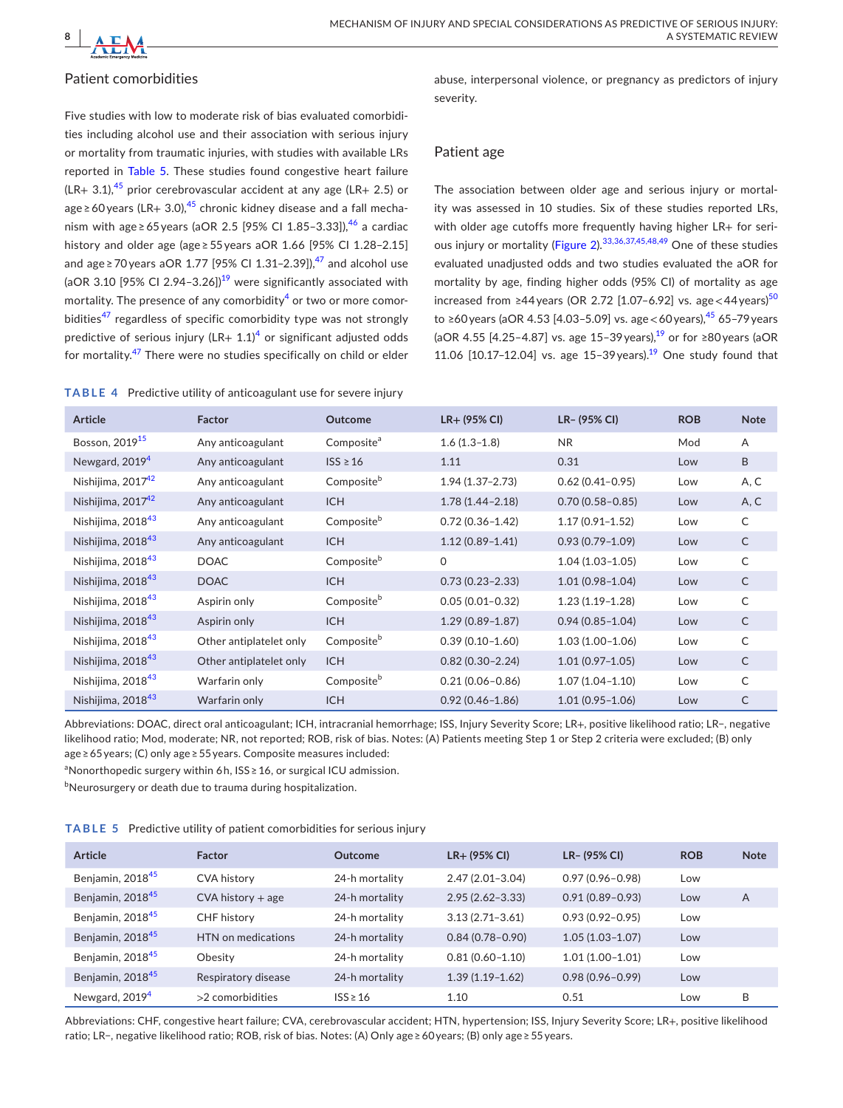

# Patient comorbidities

Five studies with low to moderate risk of bias evaluated comorbidities including alcohol use and their association with serious injury or mortality from traumatic injuries, with studies with available LRs reported in Table [5](#page-7-1). These studies found congestive heart failure  $(LR+ 3.1),^{45}$  $(LR+ 3.1),^{45}$  $(LR+ 3.1),^{45}$  prior cerebrovascular accident at any age (LR+ 2.5) or age ≥ 60 years (LR+ 3.0),<sup>[45](#page-11-16)</sup> chronic kidney disease and a fall mechanism with age ≥ 65 years (aOR 2.5 [95% CI 1.85-3.33]),<sup>46</sup> a cardiac history and older age (age ≥ 55 years aOR 1.66 [95% CI 1.28–2.15] and age ≥ 70 years aOR 1.77 [95% CI 1.31-2.39]), $^{47}$  $^{47}$  $^{47}$  and alcohol use (aOR 3.10 [95% CI 2.94-3.26])<sup>19</sup> were significantly associated with mortality. The presence of any comorbidity $\rm ^4$  $\rm ^4$  or two or more comor-bidities<sup>[47](#page-11-18)</sup> regardless of specific comorbidity type was not strongly predictive of serious injury (LR+  $1.1$ )<sup>[4](#page-10-14)</sup> or significant adjusted odds for mortality.<sup>[47](#page-11-18)</sup> There were no studies specifically on child or elder

<span id="page-7-0"></span>**TABLE 4** Predictive utility of anticoagulant use for severe injury

abuse, interpersonal violence, or pregnancy as predictors of injury severity.

# Patient age

The association between older age and serious injury or mortality was assessed in 10 studies. Six of these studies reported LRs, with older age cutoffs more frequently having higher LR+ for seri-ous injury or mortality (Figure [2](#page-8-0)).<sup>[33,36,37,45,48,49](#page-11-7)</sup> One of these studies evaluated unadjusted odds and two studies evaluated the aOR for mortality by age, finding higher odds (95% CI) of mortality as age increased from ≥44 years (OR 2.72 [1.07–6.92] vs. age < 44 years)<sup>[50](#page-11-19)</sup> to ≥60 years (aOR 4.53 [4.03–5.09] vs. age < 60 years),[45](#page-11-16) 65–79 years (aOR 4.55 [4.25-4.87] vs. age 15-39 years),<sup>19</sup> or for ≥80 years (aOR 11.06  $[10.17 - 12.04]$  vs. age 15-39 years).<sup>19</sup> One study found that

| <b>Article</b>                | Factor                  | <b>Outcome</b>         | $LR+$ (95% CI)      | LR- (95% CI)        | <b>ROB</b> | <b>Note</b>  |
|-------------------------------|-------------------------|------------------------|---------------------|---------------------|------------|--------------|
| Bosson, 2019 <sup>15</sup>    | Any anticoagulant       | Composite <sup>a</sup> | $1.6(1.3-1.8)$      | <b>NR</b>           | Mod        | A            |
| Newgard, 2019 <sup>4</sup>    | Any anticoagulant       | $ISS \geq 16$          | 1.11                | 0.31                | Low        | B            |
| Nishijima, 2017 <sup>42</sup> | Any anticoagulant       | Composite <sup>b</sup> | $1.94(1.37 - 2.73)$ | $0.62(0.41 - 0.95)$ | Low        | A, C         |
| Nishijima, 2017 <sup>42</sup> | Any anticoagulant       | <b>ICH</b>             | $1.78(1.44 - 2.18)$ | $0.70(0.58 - 0.85)$ | Low        | A, C         |
| Nishijima, 2018 <sup>43</sup> | Any anticoagulant       | Composite <sup>b</sup> | $0.72(0.36 - 1.42)$ | $1.17(0.91 - 1.52)$ | Low        | C            |
| Nishijima, 2018 <sup>43</sup> | Any anticoagulant       | <b>ICH</b>             | $1.12(0.89 - 1.41)$ | $0.93(0.79 - 1.09)$ | Low        | $\mathsf{C}$ |
| Nishijima, 2018 <sup>43</sup> | <b>DOAC</b>             | Compositeb             | $\mathbf{0}$        | $1.04(1.03 - 1.05)$ | Low        | $\mathsf{C}$ |
| Nishijima, 2018 <sup>43</sup> | <b>DOAC</b>             | <b>ICH</b>             | $0.73(0.23 - 2.33)$ | $1.01(0.98 - 1.04)$ | Low        | $\mathsf C$  |
| Nishijima, 2018 <sup>43</sup> | Aspirin only            | Composite <sup>b</sup> | $0.05(0.01 - 0.32)$ | $1.23(1.19-1.28)$   | Low        | $\mathsf{C}$ |
| Nishijima, 2018 <sup>43</sup> | Aspirin only            | <b>ICH</b>             | $1.29(0.89 - 1.87)$ | $0.94(0.85 - 1.04)$ | Low        | $\mathsf{C}$ |
| Nishijima, 2018 <sup>43</sup> | Other antiplatelet only | Composite <sup>b</sup> | $0.39(0.10 - 1.60)$ | $1.03(1.00-1.06)$   | Low        | $\mathsf{C}$ |
| Nishijima, 2018 <sup>43</sup> | Other antiplatelet only | <b>ICH</b>             | $0.82(0.30 - 2.24)$ | $1.01(0.97 - 1.05)$ | Low        | $\mathsf{C}$ |
| Nishijima, 2018 <sup>43</sup> | Warfarin only           | Compositeb             | $0.21(0.06 - 0.86)$ | $1.07(1.04 - 1.10)$ | Low        | $\mathsf{C}$ |
| Nishijima, 2018 <sup>43</sup> | Warfarin only           | <b>ICH</b>             | $0.92(0.46 - 1.86)$ | $1.01(0.95 - 1.06)$ | Low        | $\mathsf{C}$ |

Abbreviations: DOAC, direct oral anticoagulant; ICH, intracranial hemorrhage; ISS, Injury Severity Score; LR+, positive likelihood ratio; LR−, negative likelihood ratio; Mod, moderate; NR, not reported; ROB, risk of bias. Notes: (A) Patients meeting Step 1 or Step 2 criteria were excluded; (B) only age ≥ 65 years; (C) only age ≥ 55 years. Composite measures included:

<sup>a</sup>Nonorthopedic surgery within 6h, ISS ≥ 16, or surgical ICU admission.

 $^{\rm b}$ Neurosurgery or death due to trauma during hospitalization.

<span id="page-7-1"></span>**TABLE 5** Predictive utility of patient comorbidities for serious injury

| <b>Article</b>               | <b>Factor</b>       | Outcome        | $LR+$ (95% CI)      | LR- (95% CI)        | <b>ROB</b> | <b>Note</b> |
|------------------------------|---------------------|----------------|---------------------|---------------------|------------|-------------|
| Benjamin, 2018 <sup>45</sup> | <b>CVA history</b>  | 24-h mortality | $2.47(2.01-3.04)$   | $0.97(0.96 - 0.98)$ | Low        |             |
| Benjamin, 2018 <sup>45</sup> | $CVA$ history + age | 24-h mortality | $2.95(2.62 - 3.33)$ | $0.91(0.89 - 0.93)$ | Low        | A           |
| Benjamin, 2018 <sup>45</sup> | <b>CHF</b> history  | 24-h mortality | $3.13(2.71 - 3.61)$ | $0.93(0.92 - 0.95)$ | Low        |             |
| Benjamin, 2018 <sup>45</sup> | HTN on medications  | 24-h mortality | $0.84(0.78-0.90)$   | $1.05(1.03-1.07)$   | Low        |             |
| Benjamin, 2018 <sup>45</sup> | Obesity             | 24-h mortality | $0.81(0.60 - 1.10)$ | $1.01(1.00 - 1.01)$ | Low        |             |
| Benjamin, 201845             | Respiratory disease | 24-h mortality | $1.39(1.19-1.62)$   | $0.98(0.96 - 0.99)$ | Low        |             |
| Newgard, 2019 <sup>4</sup>   | $>2$ comorbidities  | $ISS \geq 16$  | 1.10                | 0.51                | Low        | B           |

Abbreviations: CHF, congestive heart failure; CVA, cerebrovascular accident; HTN, hypertension; ISS, Injury Severity Score; LR+, positive likelihood ratio; LR−, negative likelihood ratio; ROB, risk of bias. Notes: (A) Only age ≥ 60 years; (B) only age ≥ 55 years.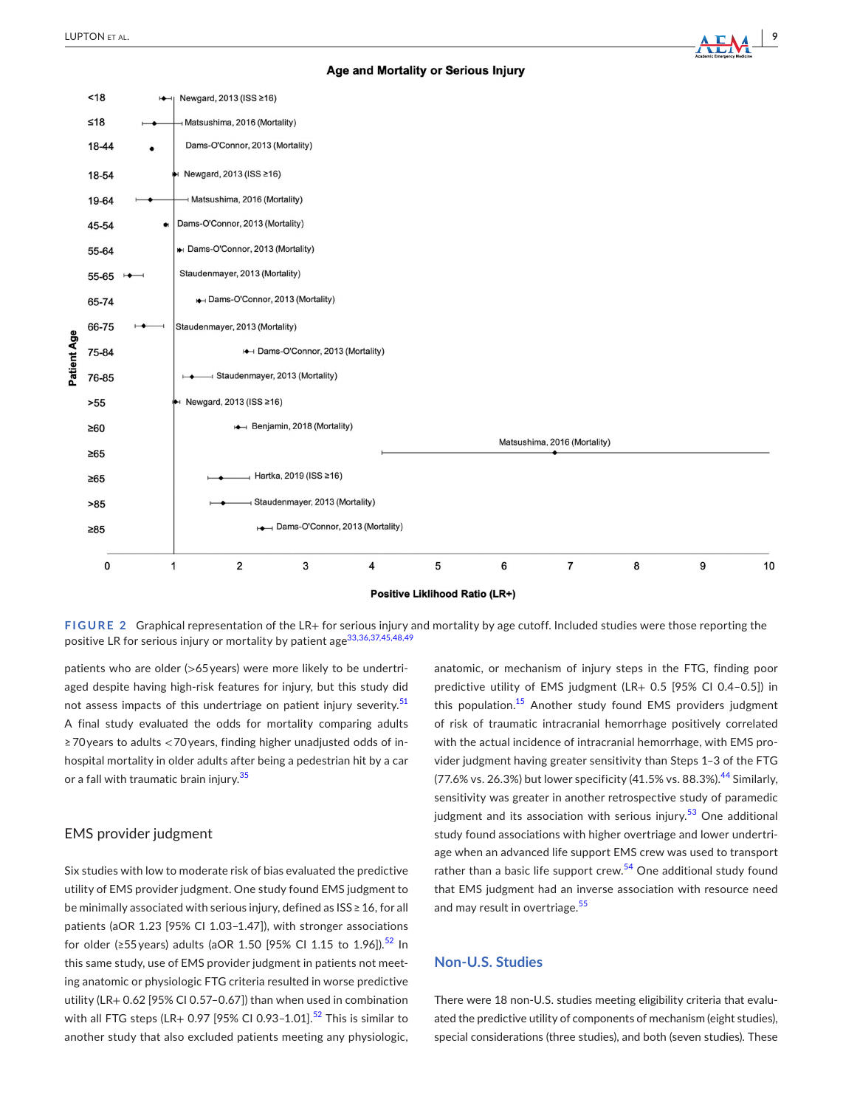## Age and Mortality or Serious Injury



<span id="page-8-0"></span>**FIGURE 2** Graphical representation of the LR+ for serious injury and mortality by age cutoff. Included studies were those reporting the positive LR for serious injury or mortality by patient age<sup>[33,36,37,45,48,49](#page-11-7)</sup>

patients who are older (>65 years) were more likely to be undertriaged despite having high-risk features for injury, but this study did not assess impacts of this undertriage on patient injury severity.<sup>[51](#page-11-20)</sup> A final study evaluated the odds for mortality comparing adults ≥ 70 years to adults < 70 years, finding higher unadjusted odds of inhospital mortality in older adults after being a pedestrian hit by a car or a fall with traumatic brain injury.<sup>[35](#page-11-21)</sup>

### EMS provider judgment

Six studies with low to moderate risk of bias evaluated the predictive utility of EMS provider judgment. One study found EMS judgment to be minimally associated with serious injury, defined as ISS ≥ 16, for all patients (aOR 1.23 [95% CI 1.03–1.47]), with stronger associations for older (≥55 years) adults (aOR 1.50 [95% CI 1.15 to 1.96]).<sup>[52](#page-11-22)</sup> In this same study, use of EMS provider judgment in patients not meeting anatomic or physiologic FTG criteria resulted in worse predictive utility (LR+ 0.62 [95% CI 0.57–0.67]) than when used in combination with all FTG steps (LR+ 0.97 [95% CI 0.93-1.01].<sup>[52](#page-11-22)</sup> This is similar to another study that also excluded patients meeting any physiologic,

anatomic, or mechanism of injury steps in the FTG, finding poor predictive utility of EMS judgment (LR+ 0.5 [95% CI 0.4–0.5]) in this population.<sup>[15](#page-10-6)</sup> Another study found EMS providers judgment of risk of traumatic intracranial hemorrhage positively correlated with the actual incidence of intracranial hemorrhage, with EMS provider judgment having greater sensitivity than Steps 1–3 of the FTG (77.6% vs. 26.3%) but lower specificity (41.5% vs. 88.3%).<sup>[44](#page-11-14)</sup> Similarly, sensitivity was greater in another retrospective study of paramedic judgment and its association with serious injury. $53$  One additional study found associations with higher overtriage and lower undertriage when an advanced life support EMS crew was used to transport rather than a basic life support crew.<sup>[54](#page-11-24)</sup> One additional study found that EMS judgment had an inverse association with resource need and may result in overtriage.<sup>[55](#page-11-25)</sup>

# **Non-U.S. Studies**

There were 18 non-U.S. studies meeting eligibility criteria that evaluated the predictive utility of components of mechanism (eight studies), special considerations (three studies), and both (seven studies). These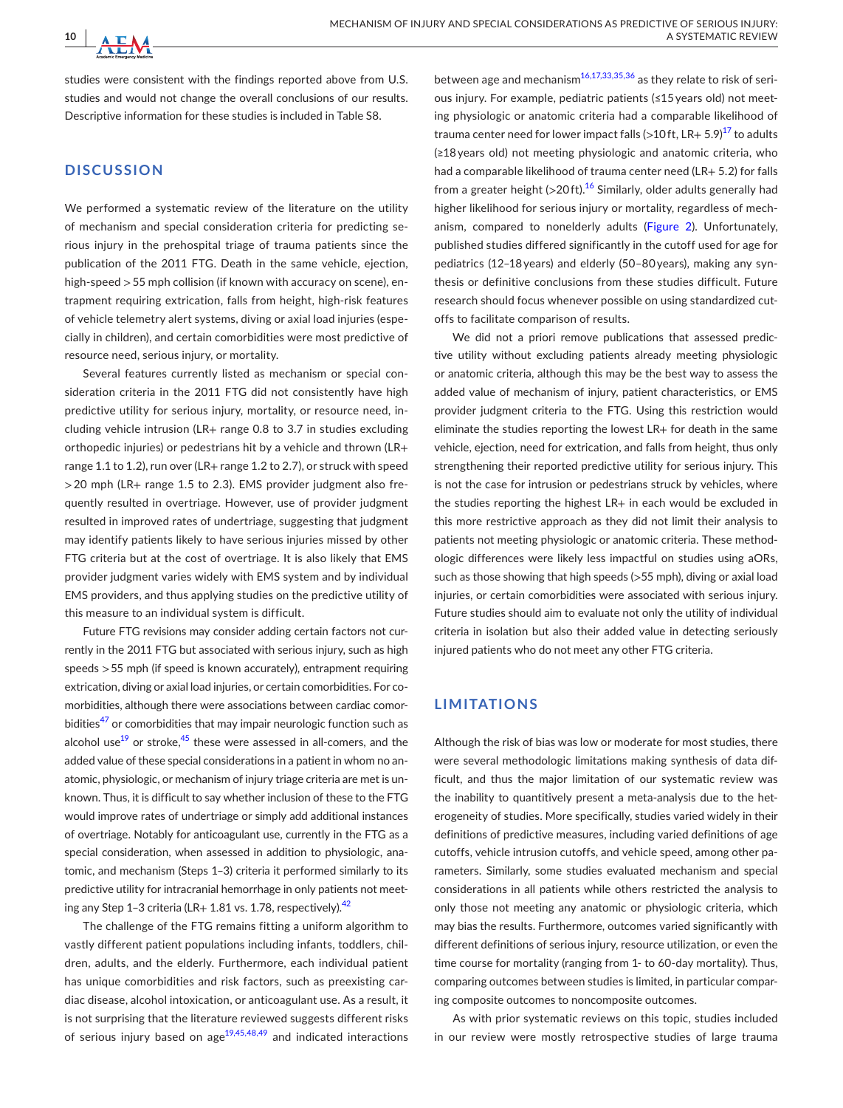studies were consistent with the findings reported above from U.S. studies and would not change the overall conclusions of our results. Descriptive information for these studies is included in Table S8.

# **DISCUSSION**

**10 <sup>|</sup>** 

We performed a systematic review of the literature on the utility of mechanism and special consideration criteria for predicting serious injury in the prehospital triage of trauma patients since the publication of the 2011 FTG. Death in the same vehicle, ejection, high-speed > 55 mph collision (if known with accuracy on scene), entrapment requiring extrication, falls from height, high-risk features of vehicle telemetry alert systems, diving or axial load injuries (especially in children), and certain comorbidities were most predictive of resource need, serious injury, or mortality.

Several features currently listed as mechanism or special consideration criteria in the 2011 FTG did not consistently have high predictive utility for serious injury, mortality, or resource need, including vehicle intrusion (LR+ range 0.8 to 3.7 in studies excluding orthopedic injuries) or pedestrians hit by a vehicle and thrown (LR+ range 1.1 to 1.2), run over (LR+ range 1.2 to 2.7), or struck with speed > 20 mph (LR+ range 1.5 to 2.3). EMS provider judgment also frequently resulted in overtriage. However, use of provider judgment resulted in improved rates of undertriage, suggesting that judgment may identify patients likely to have serious injuries missed by other FTG criteria but at the cost of overtriage. It is also likely that EMS provider judgment varies widely with EMS system and by individual EMS providers, and thus applying studies on the predictive utility of this measure to an individual system is difficult.

Future FTG revisions may consider adding certain factors not currently in the 2011 FTG but associated with serious injury, such as high speeds > 55 mph (if speed is known accurately), entrapment requiring extrication, diving or axial load injuries, or certain comorbidities. For comorbidities, although there were associations between cardiac comorbidities $47$  or comorbidities that may impair neurologic function such as alcohol use $19$  or stroke, $45$  these were assessed in all-comers, and the added value of these special considerations in a patient in whom no anatomic, physiologic, or mechanism of injury triage criteria are met is unknown. Thus, it is difficult to say whether inclusion of these to the FTG would improve rates of undertriage or simply add additional instances of overtriage. Notably for anticoagulant use, currently in the FTG as a special consideration, when assessed in addition to physiologic, anatomic, and mechanism (Steps 1–3) criteria it performed similarly to its predictive utility for intracranial hemorrhage in only patients not meet-ing any Step 1-3 criteria (LR+ 1.81 vs. 1.78, respectively).<sup>[42](#page-11-12)</sup>

The challenge of the FTG remains fitting a uniform algorithm to vastly different patient populations including infants, toddlers, children, adults, and the elderly. Furthermore, each individual patient has unique comorbidities and risk factors, such as preexisting cardiac disease, alcohol intoxication, or anticoagulant use. As a result, it is not surprising that the literature reviewed suggests different risks of serious injury based on age $19,45,48,49$  and indicated interactions

between age and mechanism<sup>16,17,33,35,36</sup> as they relate to risk of serious injury. For example, pediatric patients (≤15 years old) not meeting physiologic or anatomic criteria had a comparable likelihood of trauma center need for lower impact falls (>10ft, LR+ 5.9) $^{17}$  $^{17}$  $^{17}$  to adults (≥18 years old) not meeting physiologic and anatomic criteria, who had a comparable likelihood of trauma center need (LR+ 5.2) for falls from a greater height  $(>20$ ft).<sup>[16](#page-10-8)</sup> Similarly, older adults generally had higher likelihood for serious injury or mortality, regardless of mechanism, compared to nonelderly adults (Figure [2](#page-8-0)). Unfortunately, published studies differed significantly in the cutoff used for age for pediatrics (12–18 years) and elderly (50–80 years), making any synthesis or definitive conclusions from these studies difficult. Future research should focus whenever possible on using standardized cutoffs to facilitate comparison of results.

We did not a priori remove publications that assessed predictive utility without excluding patients already meeting physiologic or anatomic criteria, although this may be the best way to assess the added value of mechanism of injury, patient characteristics, or EMS provider judgment criteria to the FTG. Using this restriction would eliminate the studies reporting the lowest LR+ for death in the same vehicle, ejection, need for extrication, and falls from height, thus only strengthening their reported predictive utility for serious injury. This is not the case for intrusion or pedestrians struck by vehicles, where the studies reporting the highest LR+ in each would be excluded in this more restrictive approach as they did not limit their analysis to patients not meeting physiologic or anatomic criteria. These methodologic differences were likely less impactful on studies using aORs, such as those showing that high speeds (>55 mph), diving or axial load injuries, or certain comorbidities were associated with serious injury. Future studies should aim to evaluate not only the utility of individual criteria in isolation but also their added value in detecting seriously injured patients who do not meet any other FTG criteria.

## **LIMITATIONS**

Although the risk of bias was low or moderate for most studies, there were several methodologic limitations making synthesis of data difficult, and thus the major limitation of our systematic review was the inability to quantitively present a meta-analysis due to the heterogeneity of studies. More specifically, studies varied widely in their definitions of predictive measures, including varied definitions of age cutoffs, vehicle intrusion cutoffs, and vehicle speed, among other parameters. Similarly, some studies evaluated mechanism and special considerations in all patients while others restricted the analysis to only those not meeting any anatomic or physiologic criteria, which may bias the results. Furthermore, outcomes varied significantly with different definitions of serious injury, resource utilization, or even the time course for mortality (ranging from 1- to 60-day mortality). Thus, comparing outcomes between studies is limited, in particular comparing composite outcomes to noncomposite outcomes.

As with prior systematic reviews on this topic, studies included in our review were mostly retrospective studies of large trauma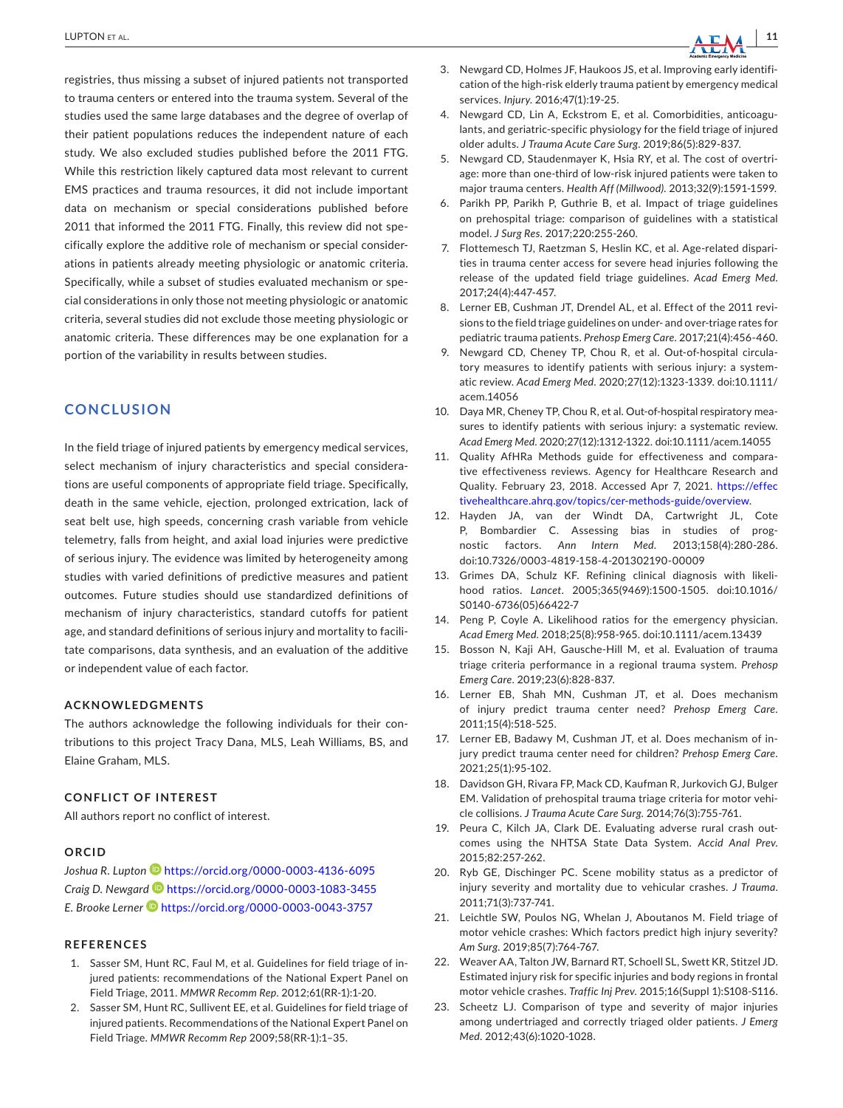registries, thus missing a subset of injured patients not transported to trauma centers or entered into the trauma system. Several of the studies used the same large databases and the degree of overlap of their patient populations reduces the independent nature of each study. We also excluded studies published before the 2011 FTG. While this restriction likely captured data most relevant to current EMS practices and trauma resources, it did not include important data on mechanism or special considerations published before 2011 that informed the 2011 FTG. Finally, this review did not specifically explore the additive role of mechanism or special considerations in patients already meeting physiologic or anatomic criteria. Specifically, while a subset of studies evaluated mechanism or special considerations in only those not meeting physiologic or anatomic criteria, several studies did not exclude those meeting physiologic or anatomic criteria. These differences may be one explanation for a portion of the variability in results between studies.

## **CONCLUSION**

In the field triage of injured patients by emergency medical services, select mechanism of injury characteristics and special considerations are useful components of appropriate field triage. Specifically, death in the same vehicle, ejection, prolonged extrication, lack of seat belt use, high speeds, concerning crash variable from vehicle telemetry, falls from height, and axial load injuries were predictive of serious injury. The evidence was limited by heterogeneity among studies with varied definitions of predictive measures and patient outcomes. Future studies should use standardized definitions of mechanism of injury characteristics, standard cutoffs for patient age, and standard definitions of serious injury and mortality to facilitate comparisons, data synthesis, and an evaluation of the additive or independent value of each factor.

#### **ACKNOWLEDGMENTS**

The authors acknowledge the following individuals for their contributions to this project Tracy Dana, MLS, Leah Williams, BS, and Elaine Graham, MLS.

#### **CONFLICT OF INTEREST**

All authors report no conflict of interest.

#### **ORCID**

*Joshua R. Lupton* <https://orcid.org/0000-0003-4136-6095> *Craig D. Newgar[d](https://orcid.org/0000-0003-1083-3455)* <https://orcid.org/0000-0003-1083-3455> *E. Brooke Lerne[r](https://orcid.org/0000-0003-0043-3757)* <https://orcid.org/0000-0003-0043-3757>

#### **REFERENCES**

- <span id="page-10-0"></span>1. Sasser SM, Hunt RC, Faul M, et al. Guidelines for field triage of injured patients: recommendations of the National Expert Panel on Field Triage, 2011. *MMWR Recomm Rep*. 2012;61(RR-1):1-20.
- 2. Sasser SM, Hunt RC, Sullivent EE, et al. Guidelines for field triage of injured patients. Recommendations of the National Expert Panel on Field Triage. *MMWR Recomm Rep* 2009;58(RR-1):1–35.
- <span id="page-10-1"></span>3. Newgard CD, Holmes JF, Haukoos JS, et al. Improving early identification of the high-risk elderly trauma patient by emergency medical services. *Injury*. 2016;47(1):19-25.
- <span id="page-10-14"></span>4. Newgard CD, Lin A, Eckstrom E, et al. Comorbidities, anticoagulants, and geriatric-specific physiology for the field triage of injured older adults. *J Trauma Acute Care Surg*. 2019;86(5):829-837.
- 5. Newgard CD, Staudenmayer K, Hsia RY, et al. The cost of overtriage: more than one-third of low-risk injured patients were taken to major trauma centers. *Health Aff (Millwood)*. 2013;32(9):1591-1599.
- 6. Parikh PP, Parikh P, Guthrie B, et al. Impact of triage guidelines on prehospital triage: comparison of guidelines with a statistical model. *J Surg Res*. 2017;220:255-260.
- 7. Flottemesch TJ, Raetzman S, Heslin KC, et al. Age-related disparities in trauma center access for severe head injuries following the release of the updated field triage guidelines. *Acad Emerg Med*. 2017;24(4):447-457.
- 8. Lerner EB, Cushman JT, Drendel AL, et al. Effect of the 2011 revisions to the field triage guidelines on under- and over-triage rates for pediatric trauma patients. *Prehosp Emerg Care*. 2017;21(4):456-460.
- <span id="page-10-2"></span>9. Newgard CD, Cheney TP, Chou R, et al. Out-of-hospital circulatory measures to identify patients with serious injury: a systematic review. *Acad Emerg Med*. 2020;27(12):1323-1339. doi[:10.1111/](https://doi.org/10.1111/acem.14056) [acem.14056](https://doi.org/10.1111/acem.14056)
- 10. Daya MR, Cheney TP, Chou R, et al. Out-of-hospital respiratory measures to identify patients with serious injury: a systematic review. *Acad Emerg Med*. 2020;27(12):1312-1322. doi[:10.1111/acem.14055](https://doi.org/10.1111/acem.14055)
- <span id="page-10-3"></span>11. Quality AfHRa Methods guide for effectiveness and comparative effectiveness reviews. Agency for Healthcare Research and Quality. February 23, 2018. Accessed Apr 7, 2021. [https://effec](https://effectivehealthcare.ahrq.gov/topics/cer-methods-guide/overview) [tivehealthcare.ahrq.gov/topics/cer-methods-guide/overview](https://effectivehealthcare.ahrq.gov/topics/cer-methods-guide/overview).
- <span id="page-10-4"></span>12. Hayden JA, van der Windt DA, Cartwright JL, Cote P, Bombardier C. Assessing bias in studies of prognostic factors. *Ann Intern Med*. 2013;158(4):280-286. doi[:10.7326/0003-4819-158-4-201302190-00009](https://doi.org/10.7326/0003-4819-158-4-201302190-00009)
- <span id="page-10-5"></span>13. Grimes DA, Schulz KF. Refining clinical diagnosis with likelihood ratios. *Lancet*. 2005;365(9469):1500-1505. doi:[10.1016/](https://doi.org/10.1016/S0140-6736(05)66422-7) [S0140-6736\(05\)66422-7](https://doi.org/10.1016/S0140-6736(05)66422-7)
- 14. Peng P, Coyle A. Likelihood ratios for the emergency physician. *Acad Emerg Med*. 2018;25(8):958-965. doi[:10.1111/acem.13439](https://doi.org/10.1111/acem.13439)
- <span id="page-10-6"></span>15. Bosson N, Kaji AH, Gausche-Hill M, et al. Evaluation of trauma triage criteria performance in a regional trauma system. *Prehosp Emerg Care*. 2019;23(6):828-837.
- <span id="page-10-8"></span>16. Lerner EB, Shah MN, Cushman JT, et al. Does mechanism of injury predict trauma center need? *Prehosp Emerg Care*. 2011;15(4):518-525.
- <span id="page-10-13"></span>17. Lerner EB, Badawy M, Cushman JT, et al. Does mechanism of injury predict trauma center need for children? *Prehosp Emerg Care*. 2021;25(1):95-102.
- <span id="page-10-7"></span>18. Davidson GH, Rivara FP, Mack CD, Kaufman R, Jurkovich GJ, Bulger EM. Validation of prehospital trauma triage criteria for motor vehicle collisions. *J Trauma Acute Care Surg*. 2014;76(3):755-761.
- <span id="page-10-9"></span>19. Peura C, Kilch JA, Clark DE. Evaluating adverse rural crash outcomes using the NHTSA State Data System. *Accid Anal Prev*. 2015;82:257-262.
- <span id="page-10-10"></span>20. Ryb GE, Dischinger PC. Scene mobility status as a predictor of injury severity and mortality due to vehicular crashes. *J Trauma*. 2011;71(3):737-741.
- <span id="page-10-11"></span>21. Leichtle SW, Poulos NG, Whelan J, Aboutanos M. Field triage of motor vehicle crashes: Which factors predict high injury severity? *Am Surg*. 2019;85(7):764-767.
- <span id="page-10-12"></span>22. Weaver AA, Talton JW, Barnard RT, Schoell SL, Swett KR, Stitzel JD. Estimated injury risk for specific injuries and body regions in frontal motor vehicle crashes. *Traffic Inj Prev*. 2015;16(Suppl 1):S108-S116.
- 23. Scheetz LJ. Comparison of type and severity of major injuries among undertriaged and correctly triaged older patients. *J Emerg Med*. 2012;43(6):1020-1028.